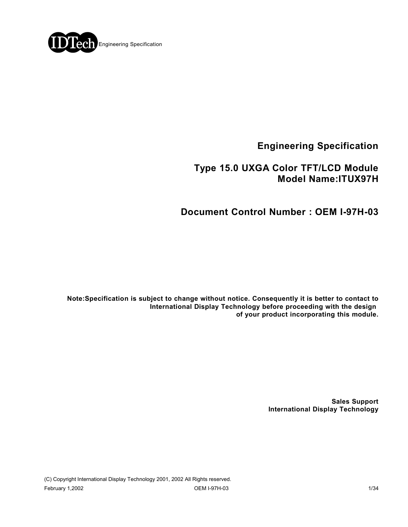

**Engineering Specification**

## **Type 15.0 UXGA Color TFT/LCD Module Model Name:ITUX97H**

# **Document Control Number : OEM I-97H-03**

**Note:Specification is subject to change without notice. Consequently it is better to contact to International Display Technology before proceeding with the design of your product incorporating this module.**

> **Sales Support International Display Technology**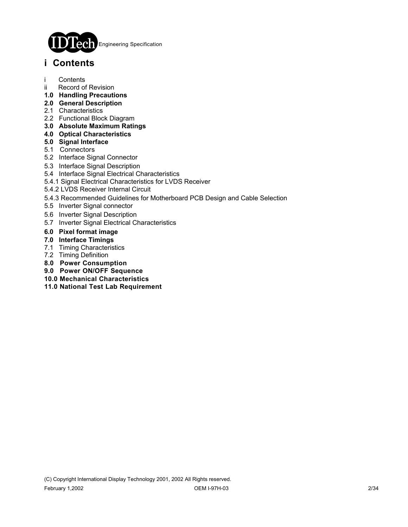

# **i Contents**

- i Contents
- ii Record of Revision
- **1.0 Handling Precautions**
- **2.0 General Description**
- 2.1 Characteristics
- 2.2 Functional Block Diagram
- **3.0 Absolute Maximum Ratings**
- **4.0 Optical Characteristics**
- **5.0 Signal Interface**
- 5.1 Connectors
- 5.2 Interface Signal Connector
- 5.3 Interface Signal Description
- 5.4 Interface Signal Electrical Characteristics
- 5.4.1 Signal Electrical Characteristics for LVDS Receiver
- 5.4.2 LVDS Receiver Internal Circuit
- 5.4.3 Recommended Guidelines for Motherboard PCB Design and Cable Selection
- 5.5 Inverter Signal connector
- 5.6 Inverter Signal Description
- 5.7 Inverter Signal Electrical Characteristics
- **6.0 Pixel format image**
- **7.0 Interface Timings**
- 7.1 Timing Characteristics
- 7.2 Timing Definition
- **8.0 Power Consumption**
- **9.0 Power ON/OFF Sequence**
- **10.0 Mechanical Characteristics**
- **11.0 National Test Lab Requirement**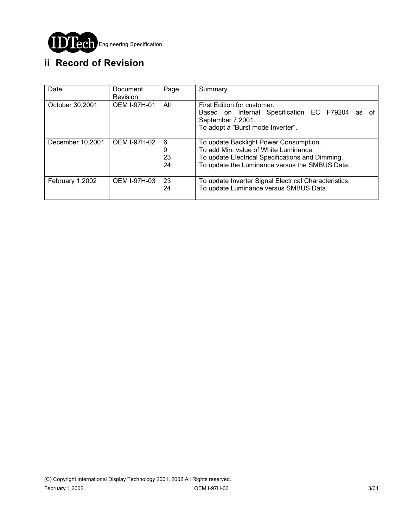

# **ii Record of Revision**

| Date             | Document<br>Revision | Page               | Summary                                                                                                                                                                               |
|------------------|----------------------|--------------------|---------------------------------------------------------------------------------------------------------------------------------------------------------------------------------------|
| October 30,2001  | <b>OEM I-97H-01</b>  | All                | First Edition for customer.<br>Based on Internal Specification EC F79204 as of<br>September 7,2001.<br>To adopt a "Burst mode Inverter".                                              |
| December 10,2001 | OEM I-97H-02         | 6<br>9<br>23<br>24 | To update Backlight Power Consumption.<br>To add Min. value of White Luminance.<br>To update Electrical Specifications and Dimming.<br>To update the Luminance versus the SMBUS Data. |
| February 1,2002  | <b>OEM I-97H-03</b>  | 23<br>24           | To update Inverter Signal Electrical Characteristics.<br>To update Luminance versus SMBUS Data.                                                                                       |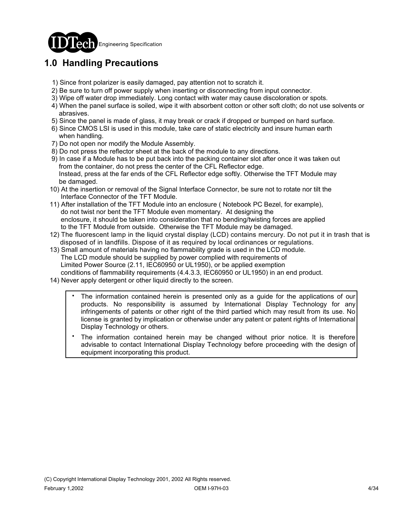

# **1.0 Handling Precautions**

- 1) Since front polarizer is easily damaged, pay attention not to scratch it.
- 2) Be sure to turn off power supply when inserting or disconnecting from input connector.
- 3) Wipe off water drop immediately. Long contact with water may cause discoloration or spots.
- 4) When the panel surface is soiled, wipe it with absorbent cotton or other soft cloth; do not use solvents or abrasives.
- 5) Since the panel is made of glass, it may break or crack if dropped or bumped on hard surface.
- 6) Since CMOS LSI is used in this module, take care of static electricity and insure human earth when handling.
- 7) Do not open nor modify the Module Assembly.
- 8) Do not press the reflector sheet at the back of the module to any directions.
- 9) In case if a Module has to be put back into the packing container slot after once it was taken out from the container, do not press the center of the CFL Reflector edge. Instead, press at the far ends of the CFL Reflector edge softly. Otherwise the TFT Module may be damaged.
- 10) At the insertion or removal of the Signal Interface Connector, be sure not to rotate nor tilt the Interface Connector of the TFT Module.
- 11) After installation of the TFT Module into an enclosure ( Notebook PC Bezel, for example), do not twist nor bent the TFT Module even momentary. At designing the enclosure, it should be taken into consideration that no bending/twisting forces are applied to the TFT Module from outside. Otherwise the TFT Module may be damaged.
- 12) The fluorescent lamp in the liquid crystal display (LCD) contains mercury. Do not put it in trash that is disposed of in landfills. Dispose of it as required by local ordinances or regulations.
- 13) Small amount of materials having no flammability grade is used in the LCD module. The LCD module should be supplied by power complied with requirements of Limited Power Source (2.11, IEC60950 or UL1950), or be applied exemption conditions of flammability requirements (4.4.3.3, IEC60950 or UL1950) in an end product.
- 14) Never apply detergent or other liquid directly to the screen.
	- The information contained herein is presented only as a guide for the applications of our products. No responsibility is assumed by International Display Technology for any infringements of patents or other right of the third partied which may result from its use. No license is granted by implication or otherwise under any patent or patent rights of International Display Technology or others. .
	- The information contained herein may be changed without prior notice. It is therefore advisable to contact International Display Technology before proceeding with the design of equipment incorporating this product. .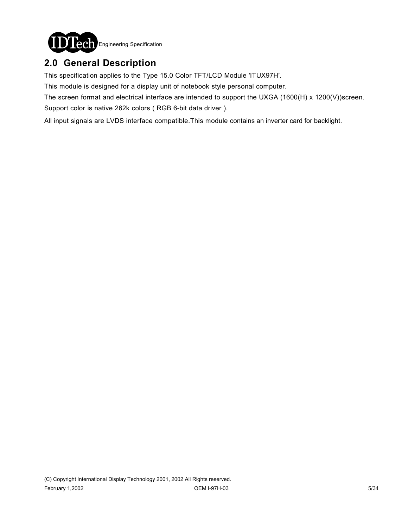

# **2.0 General Description**

This specification applies to the Type 15.0 Color TFT/LCD Module 'ITUX97H'.

This module is designed for a display unit of notebook style personal computer.

The screen format and electrical interface are intended to support the UXGA (1600(H) x 1200(V))screen.

Support color is native 262k colors ( RGB 6-bit data driver ).

All input signals are LVDS interface compatible.This module contains an inverter card for backlight.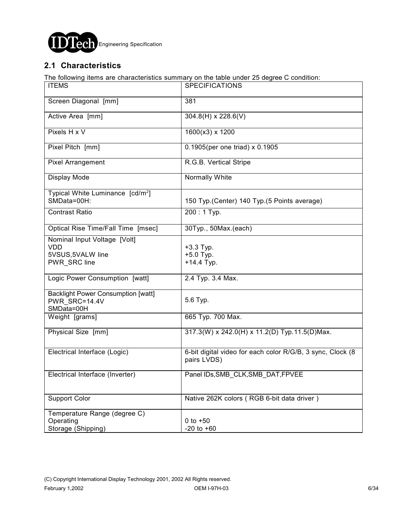

### **2.1 Characteristics**

The following items are characteristics summary on the table under 25 degree C condition:

| <b>ITEMS</b>                                                                    | <b>SPECIFICATIONS</b>                                                     |
|---------------------------------------------------------------------------------|---------------------------------------------------------------------------|
| Screen Diagonal [mm]                                                            | 381                                                                       |
| Active Area [mm]                                                                | $304.8(H) \times 228.6(V)$                                                |
| Pixels H x V                                                                    | 1600(x3) x 1200                                                           |
| Pixel Pitch [mm]                                                                | 0.1905(per one triad) $\times$ 0.1905                                     |
| Pixel Arrangement                                                               | R.G.B. Vertical Stripe                                                    |
| Display Mode                                                                    | Normally White                                                            |
| Typical White Luminance [cd/m <sup>2</sup> ]<br>SMData=00H:                     | 150 Typ. (Center) 140 Typ. (5 Points average)                             |
| <b>Contrast Ratio</b>                                                           | 200: 1 Typ.                                                               |
| Optical Rise Time/Fall Time [msec]                                              | 30Typ., 50Max.(each)                                                      |
| Nominal Input Voltage [Volt]<br><b>VDD</b><br>5VSUS, 5VALW line<br>PWR SRC line | +3.3 Typ.<br>$+5.0$ Typ.<br>$+14.4$ Typ.                                  |
| Logic Power Consumption [watt]                                                  | 2.4 Typ. 3.4 Max.                                                         |
| <b>Backlight Power Consumption [watt]</b><br>PWR SRC=14.4V<br>SMData=00H        | 5.6 Typ.                                                                  |
| Weight [grams]                                                                  | 665 Typ. 700 Max.                                                         |
| Physical Size [mm]                                                              | 317.3(W) x 242.0(H) x 11.2(D) Typ.11.5(D)Max.                             |
| Electrical Interface (Logic)                                                    | 6-bit digital video for each color R/G/B, 3 sync, Clock (8<br>pairs LVDS) |
| Electrical Interface (Inverter)                                                 | Panel IDs, SMB_CLK, SMB_DAT, FPVEE                                        |
| <b>Support Color</b>                                                            | Native 262K colors (RGB 6-bit data driver)                                |
| Temperature Range (degree C)<br>Operating<br>Storage (Shipping)                 | $0$ to $+50$<br>$-20$ to $+60$                                            |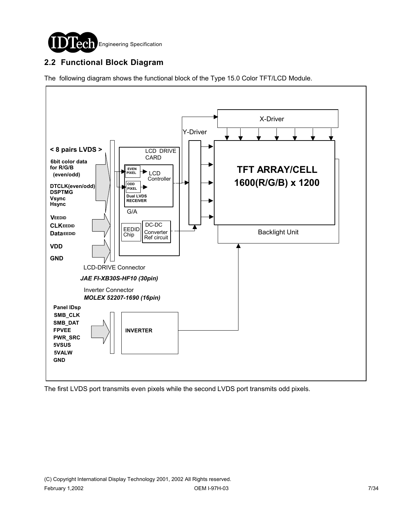

### **2.2 Functional Block Diagram**

The following diagram shows the functional block of the Type 15.0 Color TFT/LCD Module.



The first LVDS port transmits even pixels while the second LVDS port transmits odd pixels.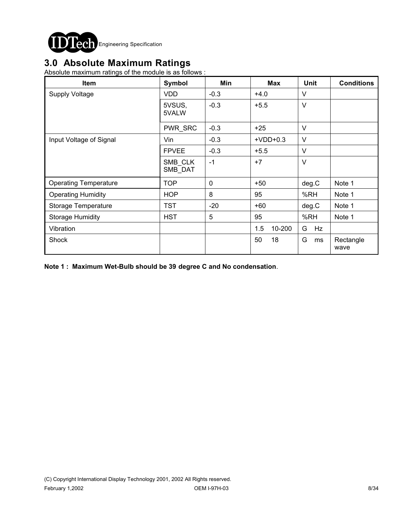

# **3.0 Absolute Maximum Ratings**

Absolute maximum ratings of the module is as follows :

| <b>Item</b>                  | Symbol             | Min    | <b>Max</b>    | <b>Unit</b> | <b>Conditions</b> |
|------------------------------|--------------------|--------|---------------|-------------|-------------------|
| <b>Supply Voltage</b>        | <b>VDD</b>         | $-0.3$ | $+4.0$        | V           |                   |
|                              | 5VSUS,<br>5VALW    | $-0.3$ | $+5.5$        | $\vee$      |                   |
|                              | PWR_SRC            | $-0.3$ | $+25$         | $\vee$      |                   |
| Input Voltage of Signal      | Vin                | $-0.3$ | $+VDD+0.3$    | $\vee$      |                   |
|                              | <b>FPVEE</b>       | $-0.3$ | $+5.5$        | $\vee$      |                   |
|                              | SMB CLK<br>SMB_DAT | $-1$   | $+7$          | $\vee$      |                   |
| <b>Operating Temperature</b> | <b>TOP</b>         | 0      | $+50$         | deg.C       | Note 1            |
| <b>Operating Humidity</b>    | <b>HOP</b>         | 8      | 95            | %RH         | Note 1            |
| Storage Temperature          | <b>TST</b>         | $-20$  | $+60$         | deg.C       | Note 1            |
| <b>Storage Humidity</b>      | <b>HST</b>         | 5      | 95            | %RH         | Note 1            |
| Vibration                    |                    |        | 10-200<br>1.5 | G<br>Hz     |                   |
| Shock                        |                    |        | 50<br>18      | G<br>ms     | Rectangle<br>wave |

**Note 1 : Maximum Wet-Bulb should be 39 degree C and No condensation**.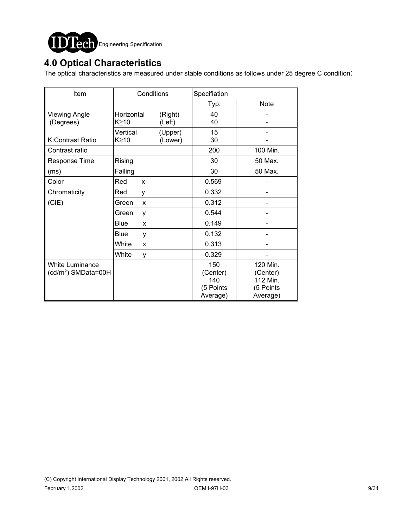

# **4.0 Optical Characteristics**

The optical characteristics are measured under stable conditions as follows under 25 degree C condition:

| Item                            | Conditions       |         | Specifiation |             |  |  |
|---------------------------------|------------------|---------|--------------|-------------|--|--|
|                                 |                  |         | Typ.         | <b>Note</b> |  |  |
| <b>Viewing Angle</b>            | Horizontal       | (Right) | 40           |             |  |  |
| (Degrees)                       | $K \geq 10$      | (Left)  | 40           |             |  |  |
|                                 | Vertical         | (Upper) | 15           |             |  |  |
| K:Contrast Ratio                | K≥10             | (Lower) | 30           |             |  |  |
| Contrast ratio                  |                  |         | 200          | 100 Min.    |  |  |
| Response Time                   | Rising           |         | 30           | 50 Max.     |  |  |
| (ms)                            | Falling          |         | 30           | 50 Max.     |  |  |
| Color                           | Red<br>X         |         | 0.569        |             |  |  |
| Chromaticity                    | Red<br>y         |         | 0.332        |             |  |  |
| (CIE)                           | Green<br>X       |         | 0.312        |             |  |  |
|                                 | Green<br>y       |         | 0.544        |             |  |  |
|                                 | <b>Blue</b><br>X |         | 0.149        |             |  |  |
|                                 | <b>Blue</b><br>y |         | 0.132        |             |  |  |
|                                 | White<br>X       |         | 0.313        |             |  |  |
|                                 | White<br>y       |         | 0.329        |             |  |  |
| <b>White Luminance</b>          |                  |         | 150          | 120 Min.    |  |  |
| (cd/m <sup>2</sup> ) SMData=00H |                  |         | (Center)     | (Center)    |  |  |
|                                 |                  |         | 140          | 112 Min.    |  |  |
|                                 |                  |         | (5 Points    | (5 Points   |  |  |
|                                 |                  |         | Average)     | Average)    |  |  |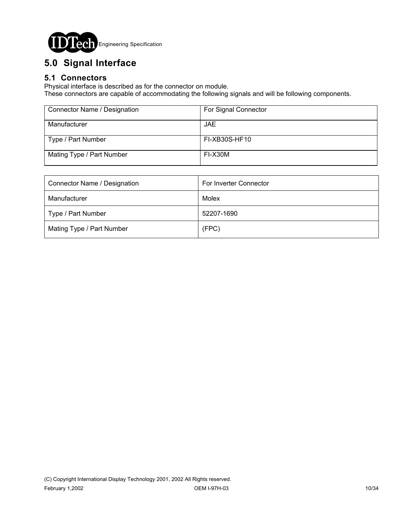

# **5.0 Signal Interface**

### **5.1 Connectors**

Physical interface is described as for the connector on module.

These connectors are capable of accommodating the following signals and will be following components.

| Connector Name / Designation | For Signal Connector |
|------------------------------|----------------------|
| Manufacturer                 | JAE.                 |
| Type / Part Number           | FI-XB30S-HF10        |
| Mating Type / Part Number    | FI-X30M              |

| Connector Name / Designation | For Inverter Connector |  |  |
|------------------------------|------------------------|--|--|
| Manufacturer                 | Molex                  |  |  |
| Type / Part Number           | 52207-1690             |  |  |
| Mating Type / Part Number    | (FPC)                  |  |  |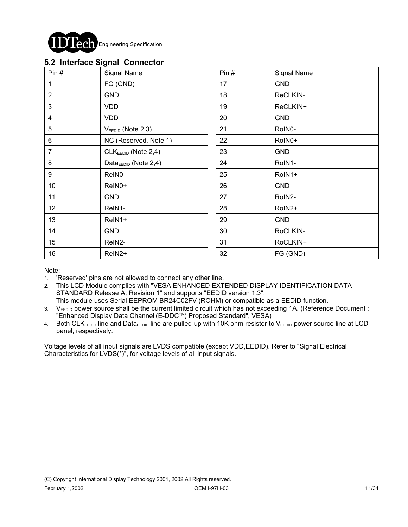

#### **5.2 Interface Signal Connector**

|                 | . . <del>.</del>                  |      |             |
|-----------------|-----------------------------------|------|-------------|
| Pin#            | Signal Name                       | Pin# | Signal Name |
| $\mathbf{1}$    | FG (GND)                          | 17   | <b>GND</b>  |
| $\overline{2}$  | <b>GND</b>                        | 18   | ReCLKIN-    |
| $\mathbf{3}$    | <b>VDD</b>                        | 19   | ReCLKIN+    |
| $\overline{4}$  | <b>VDD</b>                        | 20   | <b>GND</b>  |
| $5\phantom{.0}$ | $VEEDID$ (Note 2,3)               | 21   | RoIN0-      |
| 6               | NC (Reserved, Note 1)             | 22   | RoIN0+      |
| 7               | CLKEEDID (Note 2,4)               | 23   | <b>GND</b>  |
| 8               | Data $_{\text{EEDID}}$ (Note 2,4) | 24   | RoIN1-      |
| 9               | ReIN0-                            | 25   | RoIN1+      |
| 10              | ReIN0+                            | 26   | <b>GND</b>  |
| 11              | <b>GND</b>                        | 27   | RoIN2-      |
| 12              | ReIN1-                            | 28   | RoIN2+      |
| 13              | ReIN1+                            | 29   | <b>GND</b>  |
| 14              | <b>GND</b>                        | 30   | RoCLKIN-    |
| 15              | ReIN2-                            | 31   | RoCLKIN+    |
| 16              | ReIN <sub>2</sub> +               | 32   | FG (GND)    |
|                 |                                   |      |             |

Note:

- 1. 'Reserved' pins are not allowed to connect any other line.
- 2. This LCD Module complies with "VESA ENHANCED EXTENDED DISPLAY IDENTIFICATION DATA STANDARD Release A, Revision 1" and supports "EEDID version 1.3". This module uses Serial EEPROM BR24C02FV (ROHM) or compatible as a EEDID function.
- 3. V<sub>EEDID</sub> power source shall be the current limited circuit which has not exceeding 1A. (Reference Document : "Enhanced Display Data Channel (E-DDCTM) Proposed Standard", VESA)
- 4. Both CLKEEDID line and DataEEDID line are pulled-up with 10K ohm resistor to VEEDID power source line at LCD panel, respectively.

Voltage levels of all input signals are LVDS compatible (except VDD,EEDID). Refer to "Signal Electrical Characteristics for LVDS(\*)", for voltage levels of all input signals.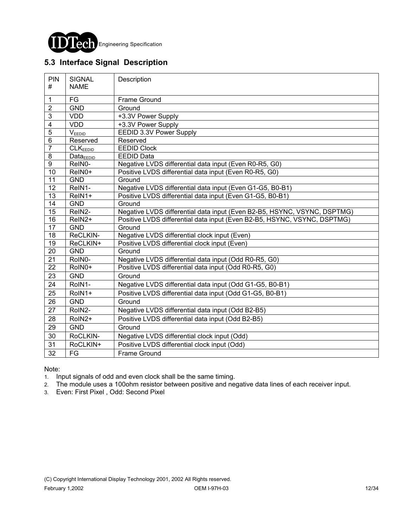

### **5.3 Interface Signal Description**

| PIN<br>#                | <b>SIGNAL</b><br><b>NAME</b> | Description                                                              |  |  |  |  |
|-------------------------|------------------------------|--------------------------------------------------------------------------|--|--|--|--|
| 1                       | $\mathsf{FG}$                | Frame Ground                                                             |  |  |  |  |
| $\overline{2}$          | <b>GND</b>                   | Ground                                                                   |  |  |  |  |
| 3                       | <b>VDD</b>                   | +3.3V Power Supply                                                       |  |  |  |  |
| $\overline{\mathbf{4}}$ | <b>VDD</b>                   | +3.3V Power Supply                                                       |  |  |  |  |
| $\overline{5}$          | $V_{EEDID}$                  | <b>EEDID 3.3V Power Supply</b>                                           |  |  |  |  |
| $\overline{6}$          | Reserved                     | Reserved                                                                 |  |  |  |  |
| $\overline{7}$          | <b>CLKEEDID</b>              | <b>EEDID Clock</b>                                                       |  |  |  |  |
| $\bf 8$                 | $Data_{EEDID}$               | <b>EEDID Data</b>                                                        |  |  |  |  |
| $\overline{9}$          | ReIN0-                       | Negative LVDS differential data input (Even R0-R5, G0)                   |  |  |  |  |
| 10                      | ReIN0+                       | Positive LVDS differential data input (Even R0-R5, G0)                   |  |  |  |  |
| $\overline{11}$         | <b>GND</b>                   | Ground                                                                   |  |  |  |  |
| 12                      | ReIN1-                       | Negative LVDS differential data input (Even G1-G5, B0-B1)                |  |  |  |  |
| $\overline{13}$         | ReIN1+                       | Positive LVDS differential data input (Even G1-G5, B0-B1)                |  |  |  |  |
| 14                      | <b>GND</b>                   | Ground                                                                   |  |  |  |  |
| 15                      | ReIN2-                       | Negative LVDS differential data input (Even B2-B5, HSYNC, VSYNC, DSPTMG) |  |  |  |  |
| $\overline{16}$         | ReIN2+                       | Positive LVDS differential data input (Even B2-B5, HSYNC, VSYNC, DSPTMG) |  |  |  |  |
| $\overline{17}$         | <b>GND</b>                   | Ground                                                                   |  |  |  |  |
| 18                      | ReCLKIN-                     | Negative LVDS differential clock input (Even)                            |  |  |  |  |
| 19                      | ReCLKIN+                     | Positive LVDS differential clock input (Even)                            |  |  |  |  |
| $\overline{20}$         | <b>GND</b>                   | Ground                                                                   |  |  |  |  |
| $\overline{21}$         | RoIN0-                       | Negative LVDS differential data input (Odd R0-R5, G0)                    |  |  |  |  |
| $\overline{22}$         | RoIN0+                       | Positive LVDS differential data input (Odd R0-R5, G0)                    |  |  |  |  |
| 23                      | <b>GND</b>                   | Ground                                                                   |  |  |  |  |
| 24                      | RoIN1-                       | Negative LVDS differential data input (Odd G1-G5, B0-B1)                 |  |  |  |  |
| 25                      | RoIN1+                       | Positive LVDS differential data input (Odd G1-G5, B0-B1)                 |  |  |  |  |
| 26                      | <b>GND</b>                   | Ground                                                                   |  |  |  |  |
| $\overline{27}$         | RoIN2-                       | Negative LVDS differential data input (Odd B2-B5)                        |  |  |  |  |
| 28                      | RoIN2+                       | Positive LVDS differential data input (Odd B2-B5)                        |  |  |  |  |
| 29                      | <b>GND</b>                   | Ground                                                                   |  |  |  |  |
| 30                      | RoCLKIN-                     | Negative LVDS differential clock input (Odd)                             |  |  |  |  |
| 31                      | RoCLKIN+                     | Positive LVDS differential clock input (Odd)                             |  |  |  |  |
| 32                      | FG                           | <b>Frame Ground</b>                                                      |  |  |  |  |

Note:

1. Input signals of odd and even clock shall be the same timing.

2. The module uses a 100ohm resistor between positive and negative data lines of each receiver input.

3. Even: First Pixel , Odd: Second Pixel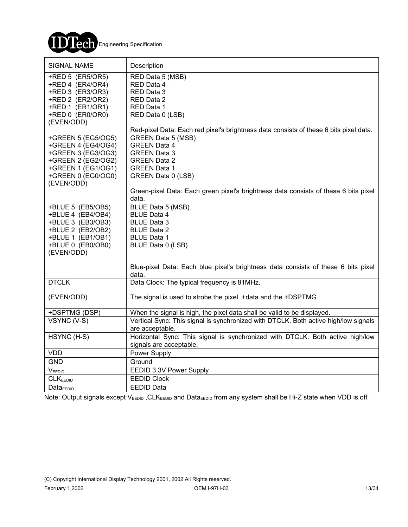

| <b>SIGNAL NAME</b>                                                                                                                             | Description                                                                                                                                                                           |
|------------------------------------------------------------------------------------------------------------------------------------------------|---------------------------------------------------------------------------------------------------------------------------------------------------------------------------------------|
| +RED 5 (ER5/OR5)<br>+RED 4 (ER4/OR4)<br>+RED 3 (ER3/OR3)<br>+RED 2 (ER2/OR2)<br>+RED 1 (ER1/OR1)<br>+RED 0 (ER0/OR0)<br>(EVEN/ODD)             | RED Data 5 (MSB)<br>RED Data 4<br>RED Data 3<br>RED Data 2<br>RED Data 1<br>RED Data 0 (LSB)<br>Red-pixel Data: Each red pixel's brightness data consists of these 6 bits pixel data. |
| +GREEN 5 (EG5/OG5)<br>+GREEN 4 (EG4/OG4)<br>+GREEN 3 (EG3/OG3)<br>+GREEN 2 (EG2/OG2)<br>+GREEN 1 (EG1/OG1)<br>+GREEN 0 (EG0/OG0)<br>(EVEN/ODD) | <b>GREEN Data 5 (MSB)</b><br><b>GREEN Data 4</b><br><b>GREEN Data 3</b><br><b>GREEN Data 2</b><br><b>GREEN Data 1</b><br>GREEN Data 0 (LSB)                                           |
|                                                                                                                                                | Green-pixel Data: Each green pixel's brightness data consists of these 6 bits pixel<br>data.                                                                                          |
| +BLUE 5 (EB5/OB5)<br>+BLUE 4 (EB4/OB4)<br>+BLUE 3 (EB3/OB3)<br>+BLUE 2 (EB2/OB2)<br>+BLUE 1 (EB1/OB1)<br>+BLUE 0 (EB0/OB0)<br>(EVEN/ODD)       | BLUE Data 5 (MSB)<br><b>BLUE Data 4</b><br><b>BLUE Data 3</b><br><b>BLUE Data 2</b><br><b>BLUE Data 1</b><br>BLUE Data 0 (LSB)                                                        |
|                                                                                                                                                | Blue-pixel Data: Each blue pixel's brightness data consists of these 6 bits pixel<br>data.                                                                                            |
| <b>DTCLK</b>                                                                                                                                   | Data Clock: The typical frequency is 81MHz.                                                                                                                                           |
| (EVEN/ODD)                                                                                                                                     | The signal is used to strobe the pixel +data and the +DSPTMG                                                                                                                          |
| +DSPTMG (DSP)<br>VSYNC (V-S)                                                                                                                   | When the signal is high, the pixel data shall be valid to be displayed.<br>Vertical Sync: This signal is synchronized with DTCLK. Both active high/low signals<br>are acceptable.     |
| HSYNC (H-S)                                                                                                                                    | Horizontal Sync: This signal is synchronized with DTCLK. Both active high/low<br>signals are acceptable.                                                                              |
| <b>VDD</b>                                                                                                                                     | Power Supply                                                                                                                                                                          |
| <b>GND</b>                                                                                                                                     | Ground                                                                                                                                                                                |
| VEEDID                                                                                                                                         | EEDID 3.3V Power Supply                                                                                                                                                               |
| CLK <sub>EEDID</sub>                                                                                                                           | <b>EEDID Clock</b>                                                                                                                                                                    |
| Data <sub>EDID</sub>                                                                                                                           | <b>EEDID Data</b>                                                                                                                                                                     |

Note: Output signals except  $V_{EEDID}$ , CLK<sub>EEDID</sub> and Data<sub>EEDID</sub> from any system shall be Hi-Z state when VDD is off.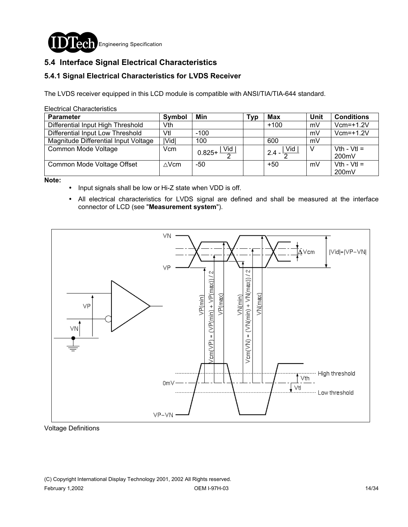

### **5.4 Interface Signal Electrical Characteristics**

#### **5.4.1 Signal Electrical Characteristics for LVDS Receiver**

The LVDS receiver equipped in this LCD module is compatible with ANSI/TIA/TIA-644 standard.

Electrical Characteristics

| <b>Parameter</b>                     | <b>Symbol</b> | Min                               | Tvɒ | <b>Max</b>                          | Unit | <b>Conditions</b>      |
|--------------------------------------|---------------|-----------------------------------|-----|-------------------------------------|------|------------------------|
| Differential Input High Threshold    | Vth           |                                   |     | $+100$                              | mV   | $Vcm=+1.2V$            |
| Differential Input Low Threshold     | Vtl           | $-100$                            |     |                                     | mV   | $Vcm=+1.2V$            |
| Magnitude Differential Input Voltage | <b>IVidl</b>  | 100                               |     | 600                                 | mV   |                        |
| Common Mode Voltage                  | Vcm           | $0.825 + \frac{ \text{ Vid} }{2}$ |     | $\sqrt{2.4-\frac{ \text{Vid} }{2}}$ | V    | $Vth - Vtl =$<br>200mV |
| Common Mode Voltage Offset           | $\wedge$ Vcm  | -50                               |     | $+50$                               | mV   | $Vth - Vtl =$<br>200mV |

**Note:** 

- ! Input signals shall be low or Hi-Z state when VDD is off.
- ! All electrical characteristics for LVDS signal are defined and shall be measured at the interface connector of LCD (see "**Measurement system**").



Voltage Definitions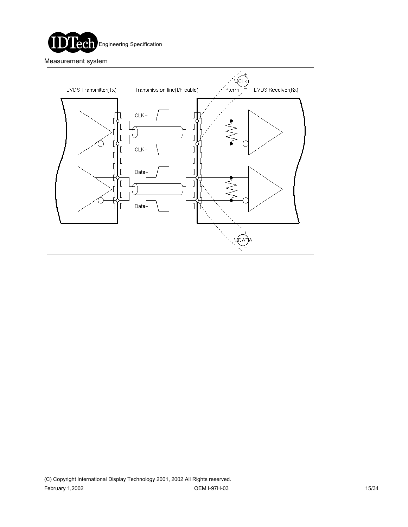

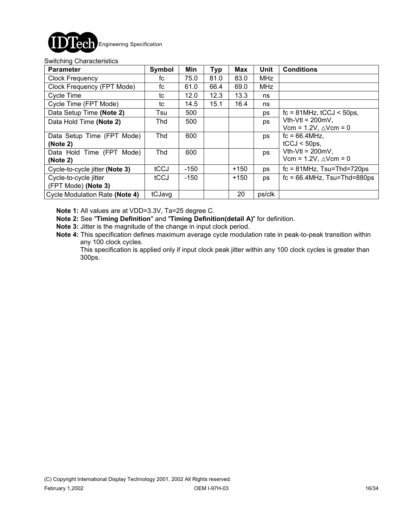

#### Switching Characteristics

| <b>Parameter</b>                             | Symbol | Min    | <b>Typ</b> | Max    | <b>Unit</b> | <b>Conditions</b>                                                  |
|----------------------------------------------|--------|--------|------------|--------|-------------|--------------------------------------------------------------------|
| <b>Clock Frequency</b>                       | fc     | 75.0   | 81.0       | 83.0   | <b>MHz</b>  |                                                                    |
| Clock Frequency (FPT Mode)                   | fc     | 61.0   | 66.4       | 69.0   | <b>MHz</b>  |                                                                    |
| Cycle Time                                   | tc     | 12.0   | 12.3       | 13.3   | ns          |                                                                    |
| Cycle Time (FPT Mode)                        | tc     | 14.5   | 15.1       | 16.4   | ns          |                                                                    |
| Data Setup Time (Note 2)                     | Tsu    | 500    |            |        | ps          | $fc = 81 MHz$ , $tCCJ < 50 ps$ ,                                   |
| Data Hold Time (Note 2)                      | Thd    | 500    |            |        | ps          | $Vth-Vtl = 200mV$ ,<br>Vcm = $1.2V$ , $\triangle V$ cm = 0         |
| Data Setup Time (FPT Mode)<br>(Note 2)       | Thd    | 600    |            |        | ps          | $fc = 66.4$ MHz,<br>$tCCJ < 50$ ps,                                |
| Data Hold Time (FPT Mode)<br>(Note 2)        | Thd    | 600    |            |        | ps          | Vth-Vtl = $200 \text{mV}$ ,<br>Vcm = $1.2V$ , $\triangle V$ cm = 0 |
| Cycle-to-cycle jitter (Note 3)               | tCCJ   | $-150$ |            | $+150$ | ps          | $fc = 81 MHz$ , Tsu=Thd=720ps                                      |
| Cycle-to-cycle jitter<br>(FPT Mode) (Note 3) | tCCJ   | $-150$ |            | $+150$ | ps          | $fc = 66.4$ MHz, Tsu=Thd=880ps                                     |
| Cycle Modulation Rate (Note 4)               | tCJavg |        |            | 20     | ps/clk      |                                                                    |

**Note 1:** All values are at VDD=3.3V, Ta=25 degree C.

**Note 2:** See "**Timing Definition**" and "**Timing Definition(detail A)**" for definition.

**Note 3:** Jitter is the magnitude of the change in input clock period.

**Note 4:** This specification defines maximum average cycle modulation rate in peak-to-peak transition within any 100 clock cycles.

 This specification is applied only if input clock peak jitter within any 100 clock cycles is greater than 300ps.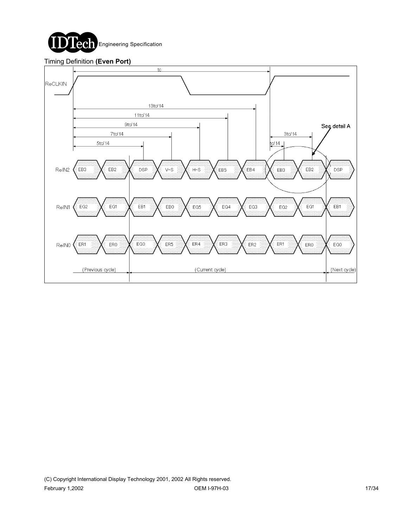

#### Timing Definition **(Even Port)**

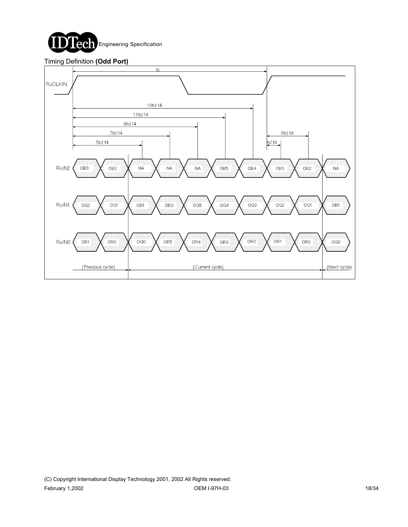

#### Timing Definition **(Odd Port)**

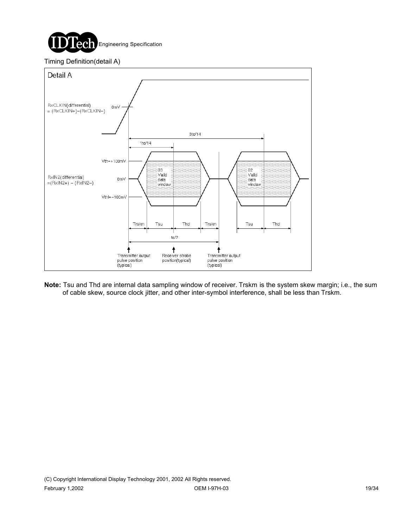

#### Timing Definition(detail A)



**Note:** Tsu and Thd are internal data sampling window of receiver. Trskm is the system skew margin; i.e., the sum of cable skew, source clock jitter, and other inter-symbol interference, shall be less than Trskm.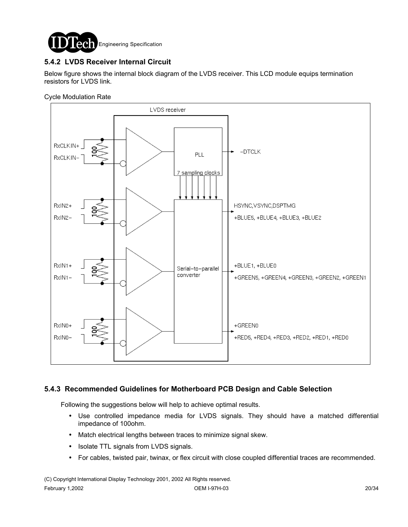

### **5.4.2 LVDS Receiver Internal Circuit**

Below figure shows the internal block diagram of the LVDS receiver. This LCD module equips termination resistors for LVDS link.

Cycle Modulation Rate



#### **5.4.3 Recommended Guidelines for Motherboard PCB Design and Cable Selection**

Following the suggestions below will help to achieve optimal results.

- ! Use controlled impedance media for LVDS signals. They should have a matched differential impedance of 100ohm.
- ! Match electrical lengths between traces to minimize signal skew.
- Isolate TTL signals from LVDS signals.
- ! For cables, twisted pair, twinax, or flex circuit with close coupled differential traces are recommended.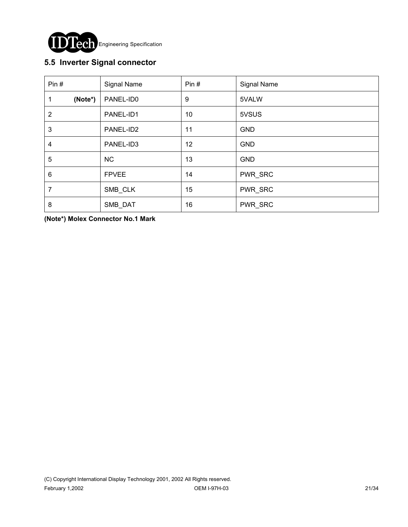

### **5.5 Inverter Signal connector**

| Pin#           | Signal Name  | Pin# | Signal Name |
|----------------|--------------|------|-------------|
| (Note*)<br>1   | PANEL-ID0    | 9    | 5VALW       |
| $\overline{2}$ | PANEL-ID1    | 10   | 5VSUS       |
| 3              | PANEL-ID2    | 11   | <b>GND</b>  |
| 4              | PANEL-ID3    | 12   | <b>GND</b>  |
| 5              | <b>NC</b>    | 13   | <b>GND</b>  |
| 6              | <b>FPVEE</b> | 14   | PWR_SRC     |
| 7              | SMB_CLK      | 15   | PWR_SRC     |
| 8              | SMB_DAT      | 16   | PWR_SRC     |

**(Note\*) Molex Connector No.1 Mark**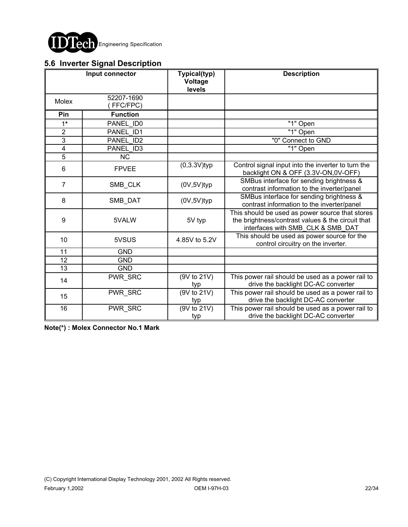

### **5.6 Inverter Signal Description**

|                 | Input connector        | Typical(typ)<br>Voltage<br>levels | <b>Description</b>                                                                                                                        |
|-----------------|------------------------|-----------------------------------|-------------------------------------------------------------------------------------------------------------------------------------------|
| Molex           | 52207-1690<br>FFC/FPC) |                                   |                                                                                                                                           |
| Pin             | <b>Function</b>        |                                   |                                                                                                                                           |
| $1*$            | PANEL ID0              |                                   | "1" Open                                                                                                                                  |
| $\overline{2}$  | PANEL ID1              |                                   | "1" Open                                                                                                                                  |
| $\overline{3}$  | PANEL ID2              |                                   | "0" Connect to GND                                                                                                                        |
| $\overline{4}$  | PANEL ID3              |                                   | "1" Open                                                                                                                                  |
| $\overline{5}$  | <b>NC</b>              |                                   |                                                                                                                                           |
| 6               | <b>FPVEE</b>           | $(0,3.3V)$ typ                    | Control signal input into the inverter to turn the<br>backlight ON & OFF (3.3V-ON,0V-OFF)                                                 |
| $\overline{7}$  | SMB_CLK                | $(0V, 5V)$ typ                    | SMBus interface for sending brightness &<br>contrast information to the inverter/panel                                                    |
| 8               | SMB DAT                | $(0V, 5V)$ typ                    | SMBus interface for sending brightness &<br>contrast information to the inverter/panel                                                    |
| 9               | 5VALW                  | 5V typ                            | This should be used as power source that stores<br>the brightness/contrast values & the circuit that<br>interfaces with SMB_CLK & SMB_DAT |
| 10              | 5VSUS                  | 4.85V to 5.2V                     | This should be used as power source for the<br>control circuitry on the inverter.                                                         |
| $\overline{11}$ | <b>GND</b>             |                                   |                                                                                                                                           |
| 12              | <b>GND</b>             |                                   |                                                                                                                                           |
| $\overline{13}$ | <b>GND</b>             |                                   |                                                                                                                                           |
| 14              | PWR_SRC                | (9V to 21V)<br>typ                | This power rail should be used as a power rail to<br>drive the backlight DC-AC converter                                                  |
| 15              | PWR_SRC                | (9V to 21V)<br>typ                | This power rail should be used as a power rail to<br>drive the backlight DC-AC converter                                                  |
| 16              | PWR_SRC                | (9V to 21V)<br>typ                | This power rail should be used as a power rail to<br>drive the backlight DC-AC converter                                                  |

**Note(\*) : Molex Connector No.1 Mark**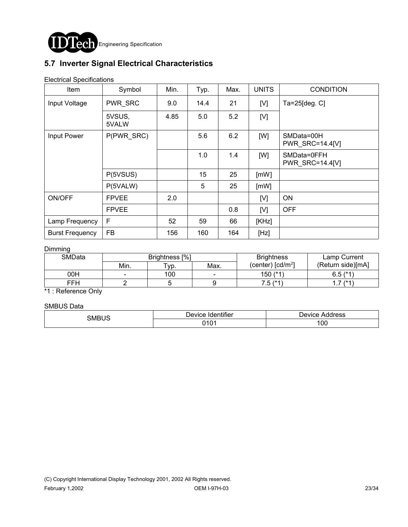

## **5.7 Inverter Signal Electrical Characteristics**

Electrical Specifications

| Item                   | Symbol          | Min. | Typ. | Max. | <b>UNITS</b> | <b>CONDITION</b>               |
|------------------------|-----------------|------|------|------|--------------|--------------------------------|
| Input Voltage          | PWR_SRC         | 9.0  | 14.4 | 21   | [V]          | Ta=25 $[deg.C]$                |
|                        | 5VSUS,<br>5VALW | 4.85 | 5.0  | 5.2  | [V]          |                                |
| Input Power            | P(PWR_SRC)      |      | 5.6  | 6.2  | [W]          | SMData=00H<br>PWR_SRC=14.4[V]  |
|                        |                 |      | 1.0  | 1.4  | [W]          | SMData=0FFH<br>PWR SRC=14.4[V] |
|                        | P(5VSUS)        |      | 15   | 25   | [mW]         |                                |
|                        | P(5VALW)        |      | 5    | 25   | [mW]         |                                |
| ON/OFF                 | <b>FPVEE</b>    | 2.0  |      |      | [V]          | <b>ON</b>                      |
|                        | <b>FPVEE</b>    |      |      | 0.8  | [V]          | <b>OFF</b>                     |
| Lamp Frequency         | F               | 52   | 59   | 66   | [KHz]        |                                |
| <b>Burst Frequency</b> | <b>FB</b>       | 156  | 160  | 164  | [Hz]         |                                |

#### Dimming

| SMData | Brightness [%] |            |      | <b>Brightness</b>                            | Lamp Current      |
|--------|----------------|------------|------|----------------------------------------------|-------------------|
|        | Min.           | $\tau$ yp. | Max. | (center) $\lceil$ cd/m <sup>2</sup> $\rceil$ | (Return side)[mA] |
| 00H    | -              | 100        |      | 150 (*1)                                     | $6.5$ ( $*1$ )    |
| FFH    |                |            |      | 7.5 (*1                                      | $1*1$<br>.        |

\*1 : Reference Only

SMBUS Data

| SMBUS | $\cdot \cdot \cdot$<br><b>Device</b><br><b>Identifier</b> | Device<br>Address |  |
|-------|-----------------------------------------------------------|-------------------|--|
|       | 0.402<br><b>UIVI</b>                                      | 00                |  |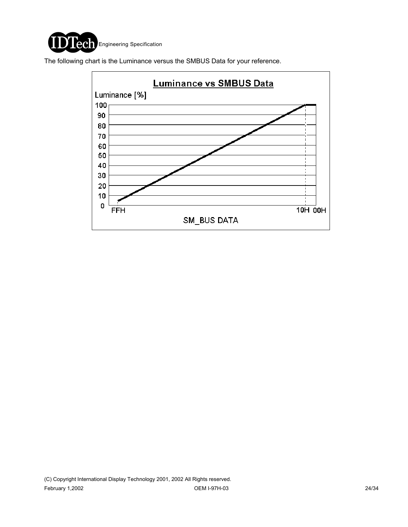

The following chart is the Luminance versus the SMBUS Data for your reference.

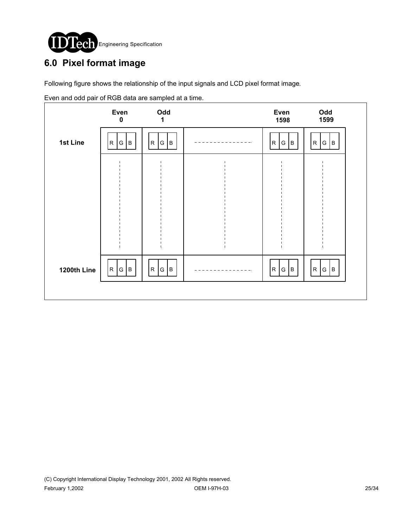

# **6.0 Pixel format image**

Following figure shows the relationship of the input signals and LCD pixel format image.

|             | Even<br>$\boldsymbol{0}$ | Odd<br>1              | Even<br>1598         | Odd<br>1599              |
|-------------|--------------------------|-----------------------|----------------------|--------------------------|
| 1st Line    | G   B<br>${\sf R}$       | ${\sf R}$<br>Iв.<br>G | ${\sf R}$<br>lв<br>G | R<br>G<br> B             |
|             |                          |                       |                      |                          |
|             |                          |                       |                      |                          |
|             |                          |                       |                      |                          |
|             |                          |                       |                      |                          |
| 1200th Line | R<br>$G \mid B$          | ${\sf R}$<br>G<br>Iв. | ${\sf R}$<br>B<br>G  | R<br>B.<br>${\mathsf G}$ |
|             |                          |                       |                      |                          |

Even and odd pair of RGB data are sampled at a time.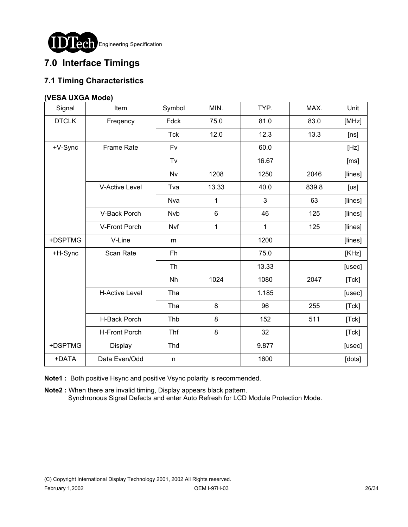

# **7.0 Interface Timings**

### **7.1 Timing Characteristics**

#### **(VESA UXGA Mode)**

| Signal       | Item                  | Symbol     | MIN.  | TYP.  | MAX.  | Unit    |
|--------------|-----------------------|------------|-------|-------|-------|---------|
| <b>DTCLK</b> | Freqency              | Fdck       | 75.0  | 81.0  | 83.0  | [MHz]   |
|              |                       | <b>Tck</b> | 12.0  | 12.3  | 13.3  | [ns]    |
| +V-Sync      | <b>Frame Rate</b>     | Fv         |       | 60.0  |       | [Hz]    |
|              |                       | Tv         |       | 16.67 |       | [ms]    |
|              |                       | Nv         | 1208  | 1250  | 2046  | [lines] |
|              | <b>V-Active Level</b> | Tva        | 13.33 | 40.0  | 839.8 | [us]    |
|              |                       | Nva        | 1     | 3     | 63    | [lines] |
|              | V-Back Porch          | Nvb        | 6     | 46    | 125   | [lines] |
|              | V-Front Porch         | Nvf        | 1     | 1     | 125   | [lines] |
| +DSPTMG      | V-Line                | m          |       | 1200  |       | [lines] |
| +H-Sync      | Scan Rate             | Fh         |       | 75.0  |       | [KHz]   |
|              |                       | Th         |       | 13.33 |       | [usec]  |
|              |                       | Nh         | 1024  | 1080  | 2047  | [Tck]   |
|              | <b>H-Active Level</b> | Tha        |       | 1.185 |       | [usec]  |
|              |                       | Tha        | 8     | 96    | 255   | [Tck]   |
|              | H-Back Porch          | Thb        | 8     | 152   | 511   | [Tck]   |
|              | H-Front Porch         | Thf        | 8     | 32    |       | [Tck]   |
| +DSPTMG      | Display               | Thd        |       | 9.877 |       | [usec]  |
| +DATA        | Data Even/Odd         | n          |       | 1600  |       | [dots]  |

**Note1 :** Both positive Hsync and positive Vsync polarity is recommended.

**Note2 :** When there are invalid timing, Display appears black pattern. Synchronous Signal Defects and enter Auto Refresh for LCD Module Protection Mode.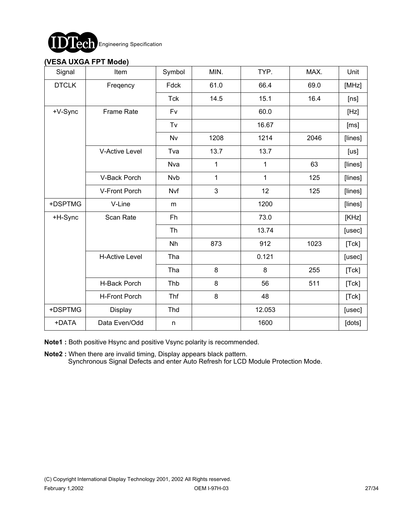

#### **(VESA UXGA FPT Mode)**

| Signal       | Item                  | Symbol     | MIN. | TYP.   | MAX. | Unit    |
|--------------|-----------------------|------------|------|--------|------|---------|
| <b>DTCLK</b> | Freqency              | Fdck       | 61.0 | 66.4   | 69.0 | [MHz]   |
|              |                       | <b>Tck</b> | 14.5 | 15.1   | 16.4 | [ns]    |
| +V-Sync      | <b>Frame Rate</b>     | Fv         |      | 60.0   |      | [Hz]    |
|              |                       | Tv         |      | 16.67  |      | [ms]    |
|              |                       | <b>Nv</b>  | 1208 | 1214   | 2046 | [lines] |
|              | <b>V-Active Level</b> | Tva        | 13.7 | 13.7   |      | [us]    |
|              |                       | Nva        | 1    | 1      | 63   | [lines] |
|              | V-Back Porch          | <b>Nvb</b> | 1    | 1      | 125  | [lines] |
|              | V-Front Porch         | Nvf        | 3    | 12     | 125  | [lines] |
| +DSPTMG      | V-Line                | m          |      | 1200   |      | [lines] |
| +H-Sync      | Scan Rate             | Fh         |      | 73.0   |      | [KHz]   |
|              |                       | Th         |      | 13.74  |      | [usec]  |
|              |                       | Nh         | 873  | 912    | 1023 | [Tck]   |
|              | <b>H-Active Level</b> | Tha        |      | 0.121  |      | [usec]  |
|              |                       | Tha        | 8    | 8      | 255  | [Tck]   |
|              | H-Back Porch          | Thb        | 8    | 56     | 511  | [Tck]   |
|              | <b>H-Front Porch</b>  | Thf        | 8    | 48     |      | [Tck]   |
| +DSPTMG      | Display               | Thd        |      | 12.053 |      | [usec]  |
| +DATA        | Data Even/Odd         | n          |      | 1600   |      | [dots]  |

**Note1 :** Both positive Hsync and positive Vsync polarity is recommended.

**Note2 :** When there are invalid timing, Display appears black pattern. Synchronous Signal Defects and enter Auto Refresh for LCD Module Protection Mode.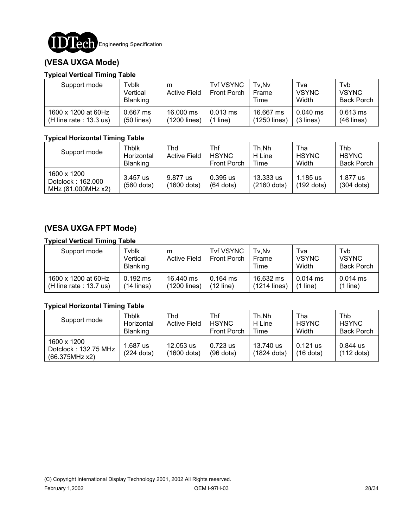

### **(VESA UXGA Mode)**

#### **Typical Vertical Timing Table**

| Support mode              | Tvblk<br>Vertical<br><b>Blanking</b> | m<br><b>Active Field</b> | <b>Tvf VSYNC</b><br><b>Front Porch</b> | Tv.Nv<br>Frame<br>Time | Tva<br><b>VSYNC</b><br>Width | Tvb<br><b>VSYNC</b><br><b>Back Porch</b> |
|---------------------------|--------------------------------------|--------------------------|----------------------------------------|------------------------|------------------------------|------------------------------------------|
| 1600 x 1200 at 60Hz       | $0.667$ ms                           | 16,000 ms                | $0.013$ ms                             | 16.667 ms              | $0.040$ ms                   | $0.613$ ms                               |
| (H line rate : $13.3$ us) | $(50$ lines)                         | (1200 lines)             | line)                                  | (1250 lines)           | $(3$ lines)                  | $(46$ lines)                             |

#### **Typical Horizontal Timing Table**

| Support mode                                           | Thblk<br>Horizontal<br><b>Blanking</b> | Thd<br><b>Active Field</b> | Thf<br><b>HSYNC</b><br><b>Front Porch</b> | Th.Nh<br>H Line<br>Time    | Tha<br><b>HSYNC</b><br>Width | Thb<br><b>HSYNC</b><br><b>Back Porch</b> |
|--------------------------------------------------------|----------------------------------------|----------------------------|-------------------------------------------|----------------------------|------------------------------|------------------------------------------|
| 1600 x 1200<br>Dotclock: 162.000<br>MHz (81.000MHz x2) | 3.457 us<br>$(560$ dots)               | 9.877 us<br>(1600 dots)    | $0.395$ us<br>$(64$ dots)                 | 13.333 us<br>$(2160$ dots) | 1.185 us<br>(192 dots)       | 1.877 us<br>$(304$ dots)                 |

### **(VESA UXGA FPT Mode)**

#### **Typical Vertical Timing Table**

| Support mode              | Tyblk<br>Vertical<br><b>Blanking</b> | m<br><b>Active Field</b> | <b>Tvf VSYNC</b><br><b>Front Porch</b> | Tv.Nv<br>Frame<br>Time | Tva<br><b>VSYNC</b><br>Width | Tvb<br><b>VSYNC</b><br><b>Back Porch</b> |
|---------------------------|--------------------------------------|--------------------------|----------------------------------------|------------------------|------------------------------|------------------------------------------|
| 1600 x 1200 at 60Hz       | $0.192$ ms                           | 16.440 ms                | $0.164 \text{ ms}$                     | 16.632 ms              | $0.014$ ms                   | $0.014$ ms                               |
| (H line rate : $13.7$ us) | $(14$ lines)                         | (1200 lines)             | (12 line)                              | $(1214$ lines)         | $(1$ line)                   | (1 line)                                 |

#### **Typical Horizontal Timing Table**

| Support mode                                          | Thblk<br>Horizontal<br><b>Blanking</b> | Thd<br><b>Active Field</b> | Thf<br><b>HSYNC</b><br><b>Front Porch</b> | Th.Nh<br>H Line<br>Time    | Tha<br><b>HSYNC</b><br>Width | Thb<br><b>HSYNC</b><br><b>Back Porch</b> |
|-------------------------------------------------------|----------------------------------------|----------------------------|-------------------------------------------|----------------------------|------------------------------|------------------------------------------|
| 1600 x 1200<br>Dotclock: 132.75 MHz<br>(66.375MHz x2) | $1.687$ us<br>$(224$ dots)             | 12.053 us<br>(1600 dots)   | $0.723$ us<br>$(96$ dots)                 | 13.740 us<br>$(1824$ dots) | $0.121$ us<br>$(16$ dots)    | 0.844 us<br>$(112$ dots)                 |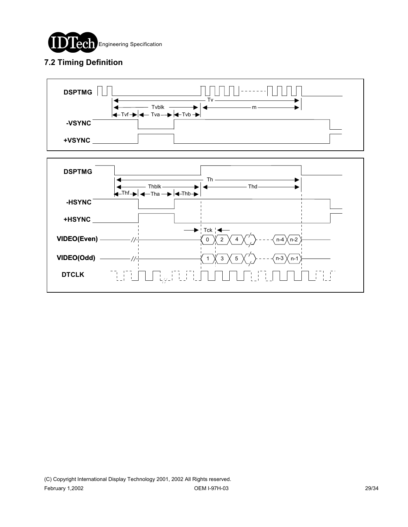

### **7.2 Timing Definition**



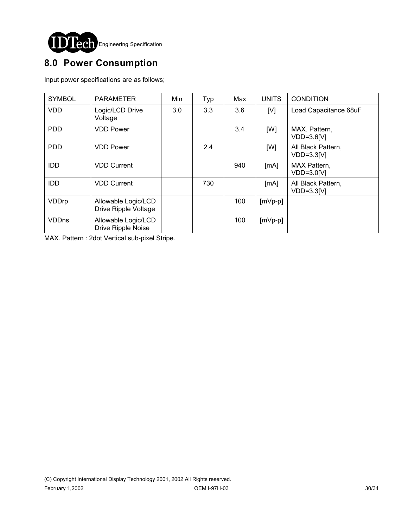

# **8.0 Power Consumption**

Input power specifications are as follows;

| <b>SYMBOL</b> | <b>PARAMETER</b>                            | Min | Typ | Max | <b>UNITS</b> | <b>CONDITION</b>                   |
|---------------|---------------------------------------------|-----|-----|-----|--------------|------------------------------------|
| <b>VDD</b>    | Logic/LCD Drive<br>Voltage                  | 3.0 | 3.3 | 3.6 | [V]          | Load Capacitance 68uF              |
| <b>PDD</b>    | <b>VDD Power</b>                            |     |     | 3.4 | [W]          | MAX. Pattern,<br>$VDD=3.6[V]$      |
| <b>PDD</b>    | <b>VDD Power</b>                            |     | 2.4 |     | [W]          | All Black Pattern,<br>$VDD=3.3[V]$ |
| <b>IDD</b>    | <b>VDD Current</b>                          |     |     | 940 | [MA]         | MAX Pattern,<br>VDD=3.0[V]         |
| <b>IDD</b>    | <b>VDD Current</b>                          |     | 730 |     | [mA]         | All Black Pattern,<br>$VDD=3.3IVI$ |
| VDDrp         | Allowable Logic/LCD<br>Drive Ripple Voltage |     |     | 100 | $[mVp-p]$    |                                    |
| <b>VDDns</b>  | Allowable Logic/LCD<br>Drive Ripple Noise   |     |     | 100 | $[mVp-p]$    |                                    |

MAX. Pattern : 2dot Vertical sub-pixel Stripe.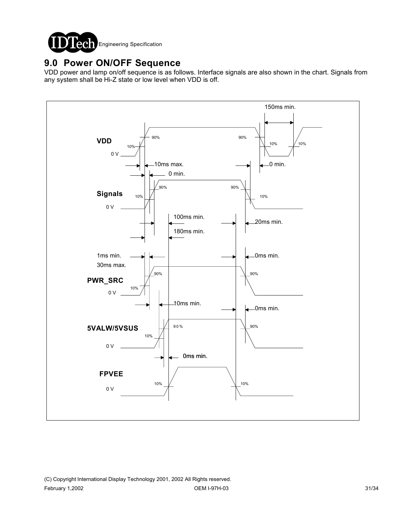

### **9.0 Power ON/OFF Sequence**

VDD power and lamp on/off sequence is as follows. Interface signals are also shown in the chart. Signals from any system shall be Hi-Z state or low level when VDD is off.

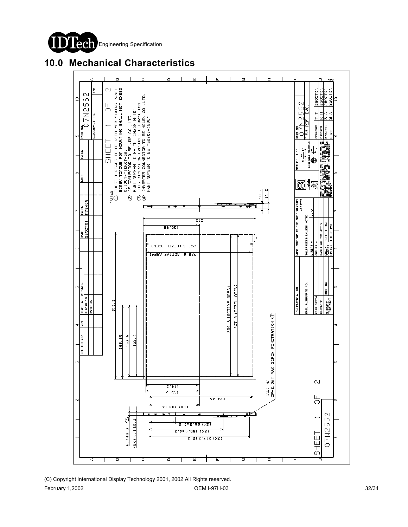

**10.0 Mechanical Characteristics**

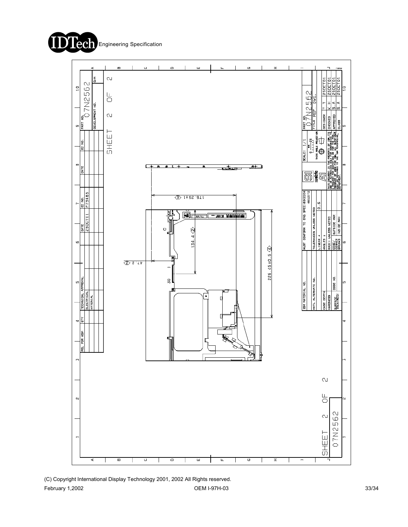



(C) Copyright International Display Technology 2001, 2002 All Rights reserved. February 1,2002 OEM I-97H-03 33/34